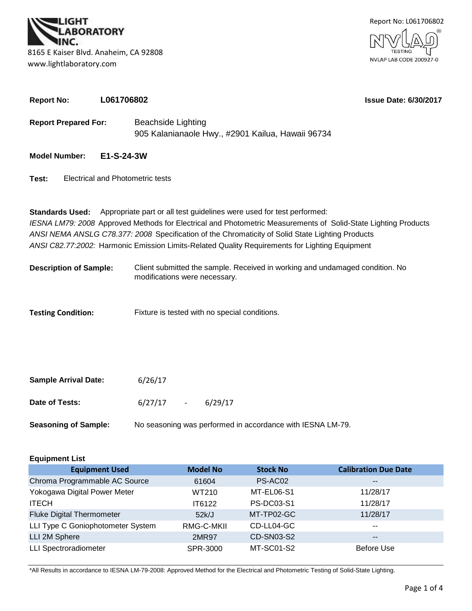



| <b>Report No:</b><br>L061706802 |            |                                                                                                                                                                                                                                                                                                                                                                                               | <b>Issue Date: 6/30/2017</b> |  |  |  |  |  |
|---------------------------------|------------|-----------------------------------------------------------------------------------------------------------------------------------------------------------------------------------------------------------------------------------------------------------------------------------------------------------------------------------------------------------------------------------------------|------------------------------|--|--|--|--|--|
| <b>Report Prepared For:</b>     |            | <b>Beachside Lighting</b><br>905 Kalanianaole Hwy., #2901 Kailua, Hawaii 96734                                                                                                                                                                                                                                                                                                                |                              |  |  |  |  |  |
| <b>Model Number:</b>            | E1-S-24-3W |                                                                                                                                                                                                                                                                                                                                                                                               |                              |  |  |  |  |  |
| Test:                           |            | <b>Electrical and Photometric tests</b>                                                                                                                                                                                                                                                                                                                                                       |                              |  |  |  |  |  |
| <b>Standards Used:</b>          |            | Appropriate part or all test guidelines were used for test performed:<br>IESNA LM79: 2008 Approved Methods for Electrical and Photometric Measurements of Solid-State Lighting Products<br>ANSI NEMA ANSLG C78.377: 2008 Specification of the Chromaticity of Solid State Lighting Products<br>ANSI C82.77:2002: Harmonic Emission Limits-Related Quality Requirements for Lighting Equipment |                              |  |  |  |  |  |
| <b>Description of Sample:</b>   |            | Client submitted the sample. Received in working and undamaged condition. No<br>modifications were necessary.                                                                                                                                                                                                                                                                                 |                              |  |  |  |  |  |
| <b>Testing Condition:</b>       |            | Fixture is tested with no special conditions.                                                                                                                                                                                                                                                                                                                                                 |                              |  |  |  |  |  |

| <b>Sample Arrival Date:</b> | 6/26/17     |                                                            |
|-----------------------------|-------------|------------------------------------------------------------|
| Date of Tests:              | $6/27/17 -$ | 6/29/17                                                    |
| <b>Seasoning of Sample:</b> |             | No seasoning was performed in accordance with IESNA LM-79. |

| <b>Equipment List</b>             |                 |                   |                             |  |  |  |  |  |
|-----------------------------------|-----------------|-------------------|-----------------------------|--|--|--|--|--|
| <b>Equipment Used</b>             | <b>Model No</b> | <b>Stock No</b>   | <b>Calibration Due Date</b> |  |  |  |  |  |
| Chroma Programmable AC Source     | 61604           | PS-AC02           | $- -$                       |  |  |  |  |  |
| Yokogawa Digital Power Meter      | WT210           | MT-EL06-S1        | 11/28/17                    |  |  |  |  |  |
| <b>ITECH</b>                      | IT6122          | <b>PS-DC03-S1</b> | 11/28/17                    |  |  |  |  |  |
| <b>Fluke Digital Thermometer</b>  | 52k/J           | MT-TP02-GC        | 11/28/17                    |  |  |  |  |  |
| LLI Type C Goniophotometer System | RMG-C-MKII      | CD-LL04-GC        | $- -$                       |  |  |  |  |  |
| LLI 2M Sphere                     | 2MR97           | CD-SN03-S2        | $\sim$ $\sim$               |  |  |  |  |  |
| <b>LLI Spectroradiometer</b>      | SPR-3000        | MT-SC01-S2        | <b>Before Use</b>           |  |  |  |  |  |

\*All Results in accordance to IESNA LM-79-2008: Approved Method for the Electrical and Photometric Testing of Solid-State Lighting.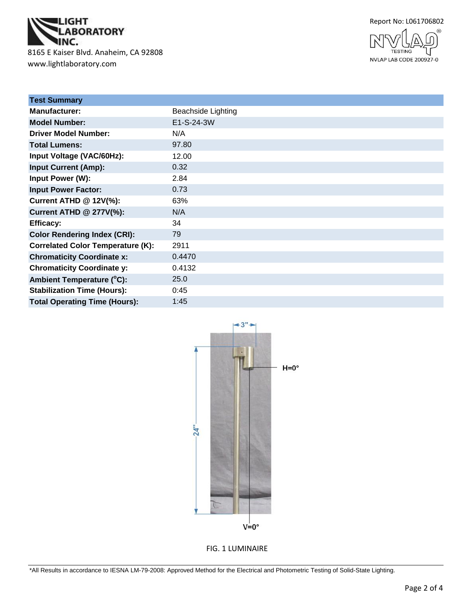

www.lightlaboratory.com



NVLAP LAB CODE 200927-0

| <b>Beachside Lighting</b> |
|---------------------------|
| E1-S-24-3W                |
| N/A                       |
| 97.80                     |
| 12.00                     |
| 0.32                      |
| 2.84                      |
| 0.73                      |
| 63%                       |
| N/A                       |
| 34                        |
| 79                        |
| 2911                      |
| 0.4470                    |
| 0.4132                    |
| 25.0                      |
| 0:45                      |
| 1:45                      |
|                           |



FIG. 1 LUMINAIRE

\*All Results in accordance to IESNA LM-79-2008: Approved Method for the Electrical and Photometric Testing of Solid-State Lighting.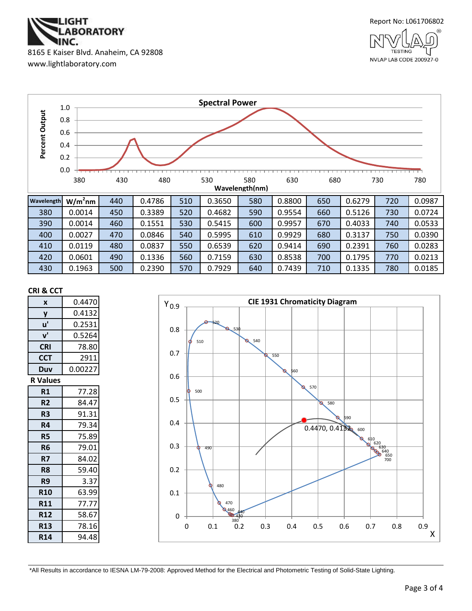

www.lightlaboratory.com





#### **CRI & CCT**

| X               | 0.4470  |  |  |  |
|-----------------|---------|--|--|--|
| y               | 0.4132  |  |  |  |
| u'              | 0.2531  |  |  |  |
| $V^{\prime}$    | 0.5264  |  |  |  |
| <b>CRI</b>      | 78.80   |  |  |  |
| <b>CCT</b>      | 2911    |  |  |  |
| Duv             | 0.00227 |  |  |  |
| <b>R</b> Values |         |  |  |  |
| R1              | 77.28   |  |  |  |
| R <sub>2</sub>  | 84.47   |  |  |  |
| R <sub>3</sub>  | 91.31   |  |  |  |
| R4              | 79.34   |  |  |  |
| R5              | 75.89   |  |  |  |
| R6              | 79.01   |  |  |  |
| R7              | 84.02   |  |  |  |
| R8              | 59.40   |  |  |  |
| R9              | 3.37    |  |  |  |
| <b>R10</b>      | 63.99   |  |  |  |
| <b>R11</b>      | 77.77   |  |  |  |
| <b>R12</b>      | 58.67   |  |  |  |
| <b>R13</b>      | 78.16   |  |  |  |
| <b>R14</b>      | 94.48   |  |  |  |



\*All Results in accordance to IESNA LM-79-2008: Approved Method for the Electrical and Photometric Testing of Solid-State Lighting.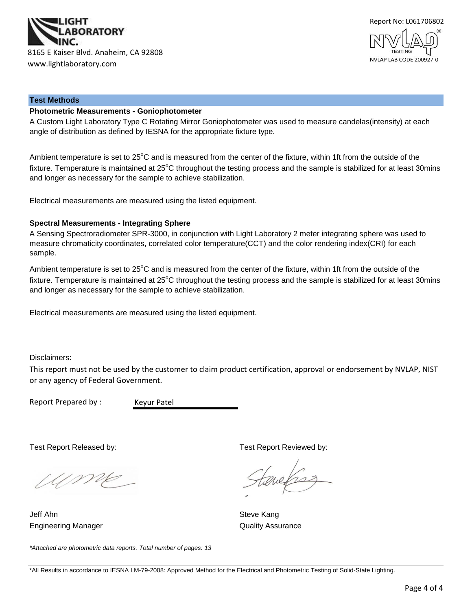



#### **Test Methods**

#### **Photometric Measurements - Goniophotometer**

A Custom Light Laboratory Type C Rotating Mirror Goniophotometer was used to measure candelas(intensity) at each angle of distribution as defined by IESNA for the appropriate fixture type.

Ambient temperature is set to 25°C and is measured from the center of the fixture, within 1ft from the outside of the fixture. Temperature is maintained at  $25^{\circ}$ C throughout the testing process and the sample is stabilized for at least 30mins and longer as necessary for the sample to achieve stabilization.

Electrical measurements are measured using the listed equipment.

#### **Spectral Measurements - Integrating Sphere**

A Sensing Spectroradiometer SPR-3000, in conjunction with Light Laboratory 2 meter integrating sphere was used to measure chromaticity coordinates, correlated color temperature(CCT) and the color rendering index(CRI) for each sample.

Ambient temperature is set to 25°C and is measured from the center of the fixture, within 1ft from the outside of the fixture. Temperature is maintained at  $25^{\circ}$ C throughout the testing process and the sample is stabilized for at least 30mins and longer as necessary for the sample to achieve stabilization.

Electrical measurements are measured using the listed equipment.

Disclaimers:

This report must not be used by the customer to claim product certification, approval or endorsement by NVLAP, NIST or any agency of Federal Government.

Report Prepared by :

Keyur Patel

Test Report Released by: Test Report Reviewed by:

Ume

Jeff Ahn Steve Kang **Engineering Manager Contract Contract Contract Contract Contract Contract Contract Contract Contract Contract Contract Contract Contract Contract Contract Contract Contract Contract Contract Contract Contract Contract Con** 

evels

*\*Attached are photometric data reports. Total number of pages: 13*

<sup>\*</sup>All Results in accordance to IESNA LM-79-2008: Approved Method for the Electrical and Photometric Testing of Solid-State Lighting.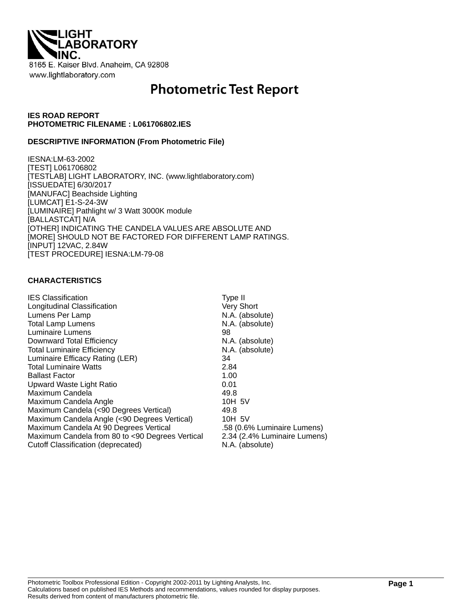

# **Photometric Test Report**

#### **IES ROAD REPORT PHOTOMETRIC FILENAME : L061706802.IES**

#### **DESCRIPTIVE INFORMATION (From Photometric File)**

IESNA:LM-63-2002 [TEST] L061706802 [TESTLAB] LIGHT LABORATORY, INC. (www.lightlaboratory.com) [ISSUEDATE] 6/30/2017 [MANUFAC] Beachside Lighting [LUMCAT] E1-S-24-3W [LUMINAIRE] Pathlight w/ 3 Watt 3000K module [BALLASTCAT] N/A [OTHER] INDICATING THE CANDELA VALUES ARE ABSOLUTE AND [MORE] SHOULD NOT BE FACTORED FOR DIFFERENT LAMP RATINGS. [INPUT] 12VAC, 2.84W [TEST PROCEDURE] IESNA:LM-79-08

#### **CHARACTERISTICS**

| Type II                      |
|------------------------------|
| Very Short                   |
| N.A. (absolute)              |
| N.A. (absolute)              |
| 98                           |
| N.A. (absolute)              |
| N.A. (absolute)              |
| 34                           |
| 2.84                         |
| 1.00                         |
| 0.01                         |
| 49.8                         |
| 10H 5V                       |
| 49.8                         |
| 10H 5V                       |
| .58 (0.6% Luminaire Lumens)  |
| 2.34 (2.4% Luminaire Lumens) |
| N.A. (absolute)              |
|                              |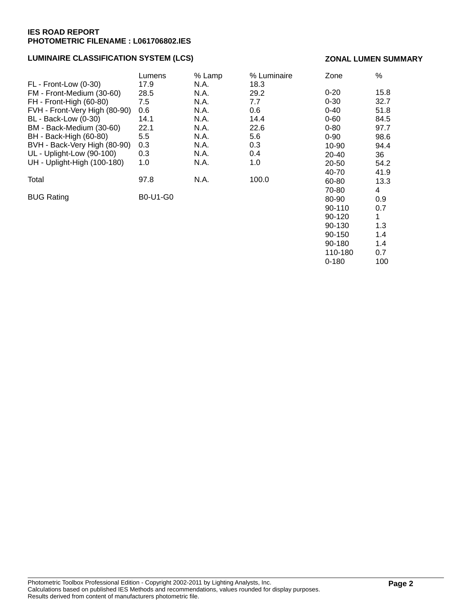## **LUMINAIRE CLASSIFICATION SYSTEM (LCS)**

#### **ZONAL LUMEN SUMMARY**

90-180 1.4 110-180 0.7 0-180 100

|                               | Lumens   | % Lamp | % Luminaire | Zone     | $\%$ |
|-------------------------------|----------|--------|-------------|----------|------|
| $FL$ - Front-Low $(0-30)$     | 17.9     | N.A.   | 18.3        |          |      |
| FM - Front-Medium (30-60)     | 28.5     | N.A.   | 29.2        | $0 - 20$ | 15.8 |
| FH - Front-High (60-80)       | 7.5      | N.A.   | 7.7         | $0 - 30$ | 32.7 |
| FVH - Front-Very High (80-90) | 0.6      | N.A.   | 0.6         | $0 - 40$ | 51.8 |
| <b>BL</b> - Back-Low (0-30)   | 14.1     | N.A.   | 14.4        | $0 - 60$ | 84.5 |
| BM - Back-Medium (30-60)      | 22.1     | N.A.   | 22.6        | $0 - 80$ | 97.7 |
| BH - Back-High (60-80)        | 5.5      | N.A.   | 5.6         | $0 - 90$ | 98.6 |
| BVH - Back-Very High (80-90)  | 0.3      | N.A.   | 0.3         | 10-90    | 94.4 |
| UL - Uplight-Low (90-100)     | 0.3      | N.A.   | 0.4         | 20-40    | 36   |
| UH - Uplight-High (100-180)   | 1.0      | N.A.   | 1.0         | 20-50    | 54.2 |
|                               |          |        |             | 40-70    | 41.9 |
| Total                         | 97.8     | N.A.   | 100.0       | 60-80    | 13.3 |
|                               |          |        |             | 70-80    | 4    |
| <b>BUG Rating</b>             | B0-U1-G0 |        |             | 80-90    | 0.9  |
|                               |          |        |             | 90-110   | 0.7  |
|                               |          |        |             | 90-120   | 1    |
|                               |          |        |             | 90-130   | 1.3  |
|                               |          |        |             | 90-150   | 1.4  |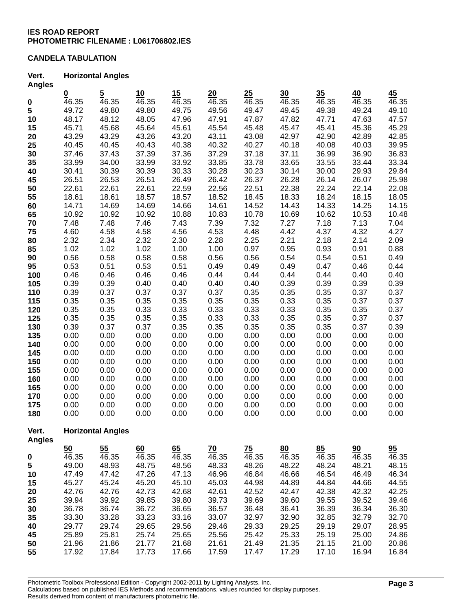## **CANDELA TABULATION**

#### **Vert. Horizontal Angles Angles**

| Angica        |                          |                |       |                    |                    |                 |       |       |       |                           |
|---------------|--------------------------|----------------|-------|--------------------|--------------------|-----------------|-------|-------|-------|---------------------------|
|               | $\frac{0}{46.35}$        | $\overline{5}$ | 10    | 15                 | 20                 | 25              | 30    | 35    | 40    | 45                        |
| 0             |                          | 46.35          | 46.35 | 46.35              | 46.35              | 46.35           | 46.35 | 46.35 | 46.35 | 46.35                     |
| 5             | 49.72                    | 49.80          | 49.80 | 49.75              | 49.56              | 49.47           | 49.45 | 49.38 | 49.24 | 49.10                     |
| 10            | 48.17                    | 48.12          | 48.05 | 47.96              | 47.91              | 47.87           | 47.82 | 47.71 | 47.63 | 47.57                     |
| 15            | 45.71                    | 45.68          | 45.64 | 45.61              | 45.54              | 45.48           | 45.47 | 45.41 | 45.36 | 45.29                     |
| 20            | 43.29                    | 43.29          | 43.26 | 43.20              | 43.11              | 43.08           | 42.97 | 42.90 | 42.89 | 42.85                     |
| 25            | 40.45                    | 40.45          | 40.43 | 40.38              | 40.32              | 40.27           | 40.18 | 40.08 | 40.03 | 39.95                     |
| 30            | 37.46                    | 37.43          | 37.39 | 37.36              | 37.29              | 37.18           | 37.11 | 36.99 | 36.90 | 36.83                     |
| 35            | 33.99                    | 34.00          | 33.99 | 33.92              | 33.85              | 33.78           | 33.65 | 33.55 | 33.44 | 33.34                     |
| 40            | 30.41                    | 30.39          | 30.39 | 30.33              | 30.28              | 30.23           | 30.14 | 30.00 | 29.93 | 29.84                     |
| 45            | 26.51                    | 26.53          | 26.51 | 26.49              | 26.42              | 26.37           | 26.28 | 26.14 | 26.07 | 25.98                     |
| 50            | 22.61                    | 22.61          | 22.61 | 22.59              | 22.56              | 22.51           | 22.38 | 22.24 | 22.14 | 22.08                     |
| 55            | 18.61                    | 18.61          | 18.57 | 18.57              | 18.52              | 18.45           | 18.33 | 18.24 | 18.15 | 18.05                     |
| 60            | 14.71                    | 14.69          | 14.69 | 14.66              | 14.61              | 14.52           | 14.43 | 14.33 | 14.25 | 14.15                     |
| 65            | 10.92                    | 10.92          | 10.92 | 10.88              | 10.83              | 10.78           | 10.69 | 10.62 | 10.53 | 10.48                     |
| 70            | 7.48                     | 7.48           | 7.46  | 7.43               | 7.39               | 7.32            | 7.27  | 7.18  | 7.13  | 7.04                      |
| 75            | 4.60                     | 4.58           | 4.58  | 4.56               | 4.53               | 4.48            | 4.42  | 4.37  | 4.32  | 4.27                      |
| 80            | 2.32                     | 2.34           | 2.32  | 2.30               | 2.28               | 2.25            | 2.21  | 2.18  | 2.14  | 2.09                      |
| 85            | 1.02                     | 1.02           | 1.02  | 1.00               | 1.00               | 0.97            | 0.95  | 0.93  | 0.91  | 0.88                      |
| 90            | 0.56                     | 0.58           | 0.58  | 0.58               | 0.56               | 0.56            | 0.54  | 0.54  | 0.51  | 0.49                      |
| 95            | 0.53                     | 0.51           | 0.53  | 0.51               | 0.49               | 0.49            | 0.49  | 0.47  | 0.46  | 0.44                      |
| 100           | 0.46                     | 0.46           | 0.46  | 0.46               | 0.44               | 0.44            | 0.44  | 0.44  | 0.40  | 0.40                      |
| 105           | 0.39                     | 0.39           | 0.40  | 0.40               | 0.40               | 0.40            | 0.39  | 0.39  | 0.39  | 0.39                      |
|               | 0.39                     | 0.37           | 0.37  | 0.37               | 0.37               | 0.35            | 0.35  | 0.35  | 0.37  | 0.37                      |
| 110           |                          |                |       |                    | 0.35               |                 |       |       |       |                           |
| 115           | 0.35                     | 0.35           | 0.35  | 0.35               |                    | 0.35            | 0.33  | 0.35  | 0.37  | 0.37                      |
| 120           | 0.35                     | 0.35           | 0.33  | 0.33               | 0.33               | 0.33            | 0.33  | 0.35  | 0.35  | 0.37                      |
| 125           | 0.35                     | 0.35           | 0.35  | 0.35               | 0.33               | 0.33            | 0.35  | 0.35  | 0.37  | 0.37                      |
| 130           | 0.39                     | 0.37           | 0.37  | 0.35               | 0.35               | 0.35            | 0.35  | 0.35  | 0.37  | 0.39                      |
| 135           | 0.00                     | 0.00           | 0.00  | 0.00               | 0.00               | 0.00            | 0.00  | 0.00  | 0.00  | 0.00                      |
| 140           | 0.00                     | 0.00           | 0.00  | 0.00               | 0.00               | 0.00            | 0.00  | 0.00  | 0.00  | 0.00                      |
| 145           | 0.00                     | 0.00           | 0.00  | 0.00               | 0.00               | 0.00            | 0.00  | 0.00  | 0.00  | 0.00                      |
| 150           | 0.00                     | 0.00           | 0.00  | 0.00               | 0.00               | 0.00            | 0.00  | 0.00  | 0.00  | 0.00                      |
| 155           | 0.00                     | 0.00           | 0.00  | 0.00               | 0.00               | 0.00            | 0.00  | 0.00  | 0.00  | 0.00                      |
| 160           | 0.00                     | 0.00           | 0.00  | 0.00               | 0.00               | 0.00            | 0.00  | 0.00  | 0.00  | 0.00                      |
| 165           | 0.00                     | 0.00           | 0.00  | 0.00               | 0.00               | 0.00            | 0.00  | 0.00  | 0.00  | 0.00                      |
| 170           | 0.00                     | 0.00           | 0.00  | 0.00               | 0.00               | 0.00            | 0.00  | 0.00  | 0.00  | 0.00                      |
| 175           | 0.00                     | 0.00           | 0.00  | 0.00               | 0.00               | 0.00            | 0.00  | 0.00  | 0.00  | 0.00                      |
| 180           | 0.00                     | 0.00           | 0.00  | 0.00               | 0.00               | 0.00            | 0.00  | 0.00  | 0.00  | 0.00                      |
| Vert.         | <b>Horizontal Angles</b> |                |       |                    |                    |                 |       |       |       |                           |
| <b>Angles</b> |                          |                |       |                    |                    |                 |       |       |       |                           |
|               | 50                       | 55             | 60    | 65                 | <u>70</u>          | $\overline{25}$ | 80    | 85    | 90    | $\underline{\mathbf{95}}$ |
| $\pmb{0}$     | $\overline{46.35}$       | 46.35          | 46.35 | $\overline{46.35}$ | $\overline{46.35}$ | 46.35           | 46.35 | 46.35 | 46.35 | 46.35                     |
| 5             | 49.00                    | 48.93          | 48.75 | 48.56              | 48.33              | 48.26           | 48.22 | 48.24 | 48.21 | 48.15                     |
| 10            | 47.49                    | 47.42          | 47.26 | 47.13              | 46.96              | 46.84           | 46.66 | 46.54 | 46.49 | 46.34                     |
| 15            | 45.27                    | 45.24          | 45.20 | 45.10              | 45.03              | 44.98           | 44.89 | 44.84 | 44.66 | 44.55                     |
| 20            | 42.76                    | 42.76          | 42.73 | 42.68              | 42.61              | 42.52           | 42.47 | 42.38 | 42.32 | 42.25                     |
| 25            | 39.94                    | 39.92          | 39.85 | 39.80              | 39.73              | 39.69           | 39.60 | 39.55 | 39.52 | 39.46                     |
| 30            | 36.78                    | 36.74          | 36.72 | 36.65              | 36.57              | 36.48           | 36.41 | 36.39 | 36.34 | 36.30                     |
| 35            | 33.30                    | 33.28          | 33.23 | 33.16              | 33.07              | 32.97           | 32.90 | 32.85 | 32.79 | 32.70                     |
| 40            | 29.77                    | 29.74          | 29.65 | 29.56              | 29.46              | 29.33           | 29.25 | 29.19 | 29.07 | 28.95                     |
| 45            | 25.89                    | 25.81          | 25.74 | 25.65              | 25.56              | 25.42           | 25.33 | 25.19 | 25.00 | 24.86                     |
| 50            | 21.96                    | 21.86          | 21.77 | 21.68              | 21.61              | 21.49           | 21.35 | 21.15 | 21.00 | 20.86                     |
| 55            | 17.92                    | 17.84          | 17.73 | 17.66              | 17.59              | 17.47           | 17.29 | 17.10 | 16.94 | 16.84                     |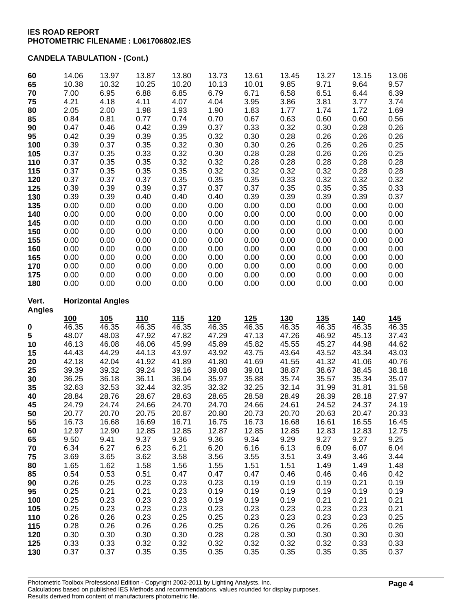## **CANDELA TABULATION - (Cont.)**

| 60<br>65      | 14.06<br>10.38 | 13.97<br>10.32           | 13.87<br>10.25 | 13.80<br>10.20 | 13.73<br>10.13 | 13.61<br>10.01 | 13.45<br>9.85 | 13.27<br>9.71 | 13.15<br>9.64 | 13.06<br>9.57 |
|---------------|----------------|--------------------------|----------------|----------------|----------------|----------------|---------------|---------------|---------------|---------------|
| 70            | 7.00           | 6.95                     | 6.88           | 6.85           | 6.79           | 6.71           | 6.58          | 6.51          | 6.44          | 6.39          |
| 75            | 4.21           | 4.18                     | 4.11           | 4.07           | 4.04           | 3.95           | 3.86          | 3.81          | 3.77          | 3.74          |
| 80            | 2.05           | 2.00                     | 1.98           | 1.93           | 1.90           | 1.83           | 1.77          | 1.74          | 1.72          | 1.69          |
| 85            | 0.84           | 0.81                     | 0.77           | 0.74           | 0.70           | 0.67           | 0.63          | 0.60          | 0.60          | 0.56          |
| 90            | 0.47           | 0.46                     | 0.42           | 0.39           | 0.37           | 0.33           | 0.32          | 0.30          | 0.28          | 0.26          |
| 95            | 0.42           | 0.39                     | 0.39           | 0.35           | 0.32           | 0.30           | 0.28          | 0.26          | 0.26          | 0.26          |
| 100           | 0.39           | 0.37                     | 0.35           | 0.32           | 0.30           | 0.30           | 0.26          | 0.26          | 0.26          | 0.25          |
| 105           | 0.37           | 0.35                     | 0.33           | 0.32           | 0.30           | 0.28           | 0.28          | 0.26          | 0.26          | 0.25          |
| 110           | 0.37           | 0.35                     | 0.35           | 0.32           | 0.32           | 0.28           | 0.28          | 0.28          | 0.28          | 0.28          |
| 115           | 0.37           | 0.35                     | 0.35           | 0.35           | 0.32           | 0.32           | 0.32          | 0.32          | 0.28          | 0.28          |
| 120           | 0.37           | 0.37                     | 0.37           | 0.35           | 0.35           | 0.35           | 0.33          | 0.32          | 0.32          | 0.32          |
| 125           | 0.39           | 0.39                     | 0.39           | 0.37           | 0.37           | 0.37           | 0.35          | 0.35          | 0.35          | 0.33          |
| 130           | 0.39           | 0.39                     | 0.40           | 0.40           | 0.40           | 0.39           | 0.39          | 0.39          | 0.39          | 0.37          |
| 135           | 0.00           | 0.00                     | 0.00           | 0.00           | 0.00           | 0.00           | 0.00          | 0.00          | 0.00          | 0.00          |
| 140           | 0.00           | 0.00                     | 0.00           | 0.00           | 0.00           | 0.00           | 0.00          | 0.00          | 0.00          | 0.00          |
| 145           | 0.00           | 0.00                     | 0.00           | 0.00           | 0.00           | 0.00           | 0.00          | 0.00          | 0.00          | 0.00          |
| 150           | 0.00           | 0.00                     | 0.00           | 0.00           | 0.00           | 0.00           | 0.00          | 0.00          | 0.00          | 0.00          |
| 155           | 0.00           | 0.00                     | 0.00           | 0.00           | 0.00           | 0.00           | 0.00          | 0.00          | 0.00          | 0.00          |
| 160           | 0.00           | 0.00                     | 0.00           | 0.00           | 0.00           | 0.00           | 0.00          | 0.00          | 0.00          | 0.00          |
| 165           | 0.00           | 0.00                     | 0.00           | 0.00           | 0.00           | 0.00           | 0.00          | 0.00          | 0.00          | 0.00          |
| 170           | 0.00           | 0.00                     | 0.00           | 0.00           | 0.00           | 0.00           | 0.00          | 0.00          | 0.00          | 0.00          |
| 175           | 0.00           | 0.00                     | 0.00           | 0.00           | 0.00           | 0.00           | 0.00          | 0.00          | 0.00          | 0.00          |
| 180           | 0.00           | 0.00                     | 0.00           | 0.00           | 0.00           | 0.00           | 0.00          | 0.00          | 0.00          | 0.00          |
| Vert.         |                | <b>Horizontal Angles</b> |                |                |                |                |               |               |               |               |
| <b>Angles</b> | 100            | 105                      | 110            | 115            | 120            | $125$          | 130           | <b>135</b>    | 140           | 145           |
| 0             | 46.35          | 46.35                    | 46.35          | 46.35          | 46.35          | 46.35          | 46.35         | 46.35         | 46.35         | 46.35         |
| 5             | 48.07          | 48.03                    | 47.92          | 47.82          | 47.29          | 47.13          | 47.26         | 46.92         | 45.13         | 37.43         |
| 10            | 46.13          | 46.08                    | 46.06          | 45.99          | 45.89          | 45.82          | 45.55         | 45.27         | 44.98         | 44.62         |
| 15            | 44.43          | 44.29                    | 44.13          | 43.97          | 43.92          | 43.75          | 43.64         | 43.52         | 43.34         | 43.03         |
| 20            | 42.18          | 42.04                    | 41.92          | 41.89          | 41.80          | 41.69          | 41.55         | 41.32         | 41.06         | 40.76         |
| 25            | 39.39          | 39.32                    | 39.24          | 39.16          | 39.08          | 39.01          | 38.87         | 38.67         | 38.45         | 38.18         |
| 30            | 36.25          | 36.18                    | 36.11          | 36.04          | 35.97          | 35.88          | 35.74         | 35.57         | 35.34         | 35.07         |
| 35            | 32.63          | 32.53                    | 32.44          | 32.35          | 32.32          | 32.25          | 32.14         | 31.99         | 31.81         | 31.58         |
| 40            | 28.84          | 28.76                    | 28.67          | 28.63          | 28.65          | 28.58          | 28.49         | 28.39         | 28.18         | 27.97         |
| 45            | 24.79          | 24.74                    | 24.66          | 24.70          | 24.70          | 24.66          | 24.61         | 24.52         | 24.37         | 24.19         |
| 50            | 20.77          | 20.70                    | 20.75          | 20.87          | 20.80          | 20.73          | 20.70         | 20.63         | 20.47         | 20.33         |
| 55            | 16.73          | 16.68                    | 16.69          | 16.71          | 16.75          | 16.73          | 16.68         | 16.61         | 16.55         | 16.45         |
| 60            | 12.97          | 12.90                    | 12.85          | 12.85          | 12.87          | 12.85          | 12.85         | 12.83         | 12.83         | 12.75         |
| 65            | 9.50           | 9.41                     | 9.37           | 9.36           | 9.36           | 9.34           | 9.29          | 9.27          | 9.27          | 9.25          |
| 70            | 6.34           | 6.27                     | 6.23           | 6.21           | 6.20           | 6.16           | 6.13          | 6.09          | 6.07          | 6.04          |
| 75            | 3.69           | 3.65                     | 3.62           | 3.58           | 3.56           | 3.55           | 3.51          | 3.49          | 3.46          | 3.44          |
| 80            | 1.65           | 1.62                     | 1.58           | 1.56           | 1.55           | 1.51           | 1.51          | 1.49          | 1.49          | 1.48          |
| 85            | 0.54           | 0.53                     | 0.51           | 0.47           | 0.47           | 0.47           | 0.46          | 0.46          | 0.46          | 0.42          |
| 90            | 0.26           | 0.25                     | 0.23           | 0.23           | 0.23           | 0.19           | 0.19          | 0.19          | 0.21          | 0.19          |
| 95            | 0.25           | 0.21                     | 0.21           | 0.23           | 0.19           | 0.19           | 0.19          | 0.19          | 0.19          | 0.19          |
| 100           | 0.25           | 0.23                     | 0.23           | 0.23           | 0.19           | 0.19           | 0.19          | 0.21          | 0.21          | 0.21          |
| 105           | 0.25           | 0.23                     | 0.23           | 0.23           | 0.23           | 0.23           | 0.23          | 0.23          | 0.23          | 0.21          |
| 110           | 0.26           | 0.26                     | 0.23           | 0.25           | 0.25           | 0.23           | 0.23          | 0.23          | 0.23          | 0.25          |
| 115           | 0.28           | 0.26                     | 0.26           | 0.26           | 0.25           | 0.26           | 0.26          | 0.26          | 0.26          | 0.26          |
| 120           | 0.30           | 0.30                     | 0.30           | 0.30           | 0.28           | 0.28           | 0.30          | 0.30          | 0.30          | 0.30          |
| 125           | 0.33           | 0.33                     | 0.32           | 0.32           | 0.32           | 0.32           | 0.32          | 0.32          | 0.33          | 0.33          |
| 130           | 0.37           | 0.37                     | 0.35           | 0.35           | 0.35           | 0.35           | 0.35          | 0.35          | 0.35          | 0.37          |
|               |                |                          |                |                |                |                |               |               |               |               |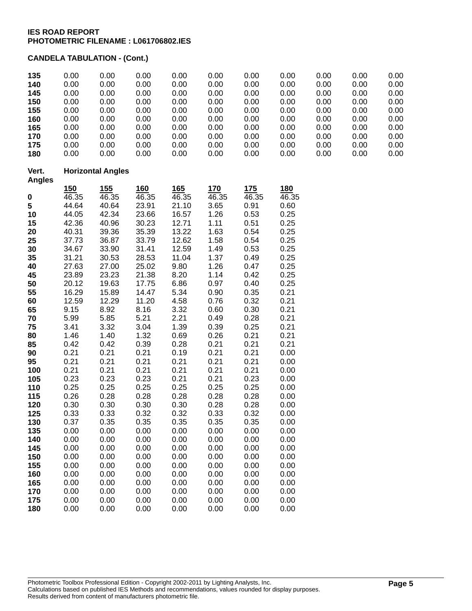## **CANDELA TABULATION - (Cont.)**

| 135<br>140             | 0.00<br>0.00 | 0.00<br>0.00             | 0.00<br>0.00 | 0.00<br>0.00 | 0.00<br>0.00 | 0.00<br>0.00 | 0.00<br>0.00 | 0.00<br>0.00 | 0.00<br>0.00 | 0.00<br>0.00 |
|------------------------|--------------|--------------------------|--------------|--------------|--------------|--------------|--------------|--------------|--------------|--------------|
| 145                    | 0.00         | 0.00                     | 0.00         | 0.00         | 0.00         | 0.00         | 0.00         | 0.00         | 0.00         | 0.00         |
| 150                    | 0.00         | 0.00                     | 0.00         | 0.00         | 0.00         | 0.00         | 0.00         | 0.00         | 0.00         | 0.00         |
| 155                    | 0.00         | 0.00                     | 0.00         | 0.00         | 0.00         | 0.00         | 0.00         | 0.00         | 0.00         | 0.00         |
| 160                    | 0.00         | 0.00                     | 0.00         | 0.00         | 0.00         | 0.00         | 0.00         | 0.00         | 0.00         | 0.00         |
| 165                    | 0.00         | 0.00                     | 0.00         | 0.00         | 0.00         | 0.00         | 0.00         | 0.00         | 0.00         | 0.00         |
| 170                    | 0.00         | 0.00                     | 0.00         | 0.00         | 0.00         | 0.00         | 0.00         | 0.00         | 0.00         | 0.00         |
| 175                    | 0.00         | 0.00                     | 0.00         | 0.00         | 0.00         | 0.00         | 0.00         | 0.00         | 0.00         | 0.00         |
| 180                    | 0.00         | 0.00                     | 0.00         | 0.00         | 0.00         | 0.00         | 0.00         | 0.00         | 0.00         | 0.00         |
| Vert.<br><b>Angles</b> |              | <b>Horizontal Angles</b> |              |              |              |              |              |              |              |              |
|                        | 150          | 155                      | 160          | 165          | 170          | 175          | 180          |              |              |              |
| 0                      | 46.35        | 46.35                    | 46.35        | 46.35        | 46.35        | 46.35        | 46.35        |              |              |              |
| 5                      | 44.64        | 40.64                    | 23.91        | 21.10        | 3.65         | 0.91         | 0.60         |              |              |              |
| 10                     | 44.05        | 42.34                    | 23.66        | 16.57        | 1.26         | 0.53         | 0.25         |              |              |              |
| 15                     | 42.36        | 40.96                    | 30.23        | 12.71        | 1.11         | 0.51         | 0.25         |              |              |              |
| 20                     | 40.31        | 39.36                    | 35.39        | 13.22        | 1.63         | 0.54         | 0.25         |              |              |              |
| 25                     | 37.73        | 36.87                    | 33.79        | 12.62        | 1.58         | 0.54         | 0.25         |              |              |              |
| 30                     | 34.67        | 33.90                    | 31.41        | 12.59        | 1.49         | 0.53         | 0.25         |              |              |              |
| 35                     | 31.21        | 30.53                    | 28.53        | 11.04        | 1.37         | 0.49         | 0.25         |              |              |              |
| 40                     | 27.63        | 27.00                    | 25.02        | 9.80         | 1.26         | 0.47         | 0.25         |              |              |              |
| 45                     | 23.89        | 23.23                    | 21.38        | 8.20         | 1.14         | 0.42         | 0.25         |              |              |              |
| 50                     | 20.12        | 19.63                    | 17.75        | 6.86         | 0.97         | 0.40         | 0.25         |              |              |              |
| 55                     | 16.29        | 15.89                    | 14.47        | 5.34         | 0.90         | 0.35         | 0.21         |              |              |              |
| 60                     | 12.59        | 12.29                    | 11.20        | 4.58         | 0.76         | 0.32         | 0.21         |              |              |              |
| 65                     | 9.15         | 8.92                     | 8.16         | 3.32         | 0.60         | 0.30         | 0.21         |              |              |              |
| 70                     | 5.99         | 5.85                     | 5.21         | 2.21         | 0.49         | 0.28         | 0.21         |              |              |              |
| 75                     | 3.41         | 3.32                     | 3.04         | 1.39         | 0.39         | 0.25         | 0.21         |              |              |              |
| 80                     | 1.46         | 1.40                     | 1.32         | 0.69         | 0.26         | 0.21         | 0.21         |              |              |              |
| 85                     | 0.42         | 0.42                     | 0.39         | 0.28         | 0.21         | 0.21         | 0.21         |              |              |              |
| 90                     | 0.21         | 0.21                     | 0.21         | 0.19         | 0.21         | 0.21         | 0.00         |              |              |              |
| 95                     | 0.21         | 0.21                     | 0.21         | 0.21         | 0.21         | 0.21         | 0.00         |              |              |              |
| 100                    | 0.21         | 0.21                     | 0.21         | 0.21         | 0.21         | 0.21         | 0.00         |              |              |              |
| 105                    | 0.23         | 0.23                     | 0.23         | 0.21         | 0.21         | 0.23         | 0.00         |              |              |              |
| 110                    | 0.25         | 0.25                     | 0.25         | 0.25         | 0.25         | 0.25         | 0.00         |              |              |              |
| 115                    | 0.26         | 0.28                     | 0.28         | 0.28         | 0.28         | 0.28         | 0.00         |              |              |              |
| 120                    | 0.30         | 0.30                     | 0.30         | 0.30         | 0.28         | 0.28         | 0.00         |              |              |              |
| 125                    | 0.33         | 0.33                     | 0.32         | 0.32         | 0.33         | 0.32         | 0.00         |              |              |              |
| 130                    | 0.37         | 0.35                     | 0.35         | 0.35         | 0.35         | 0.35         | 0.00         |              |              |              |
| 135                    | 0.00         | 0.00                     | 0.00         | 0.00         | 0.00         | 0.00         | 0.00         |              |              |              |
| 140                    | 0.00         | 0.00                     | 0.00         | 0.00         | 0.00         | 0.00         | 0.00         |              |              |              |
| 145                    | 0.00         | 0.00                     | 0.00         | 0.00         | 0.00         | 0.00         | 0.00         |              |              |              |
| 150                    | 0.00         | 0.00                     | 0.00         | 0.00         | 0.00         | 0.00         | 0.00         |              |              |              |
| 155                    | 0.00         | 0.00                     | 0.00         | 0.00         | 0.00         | 0.00         | 0.00         |              |              |              |
| 160                    | 0.00         | 0.00                     | 0.00         | 0.00         | 0.00         | 0.00         | 0.00         |              |              |              |
| 165                    | 0.00         | 0.00                     | 0.00         | 0.00         | 0.00         | 0.00         | 0.00         |              |              |              |
| 170                    | 0.00         | 0.00                     | 0.00         | 0.00         | 0.00         | 0.00         | 0.00         |              |              |              |
| 175                    | 0.00         | 0.00                     | 0.00         | 0.00         | 0.00         | 0.00         | 0.00         |              |              |              |
| 180                    | 0.00         | 0.00                     | 0.00         | 0.00         | 0.00         | 0.00         | 0.00         |              |              |              |

Photometric Toolbox Professional Edition - Copyright 2002-2011 by Lighting Analysts, Inc. Calculations based on published IES Methods and recommendations, values rounded for display purposes. Results derived from content of manufacturers photometric file.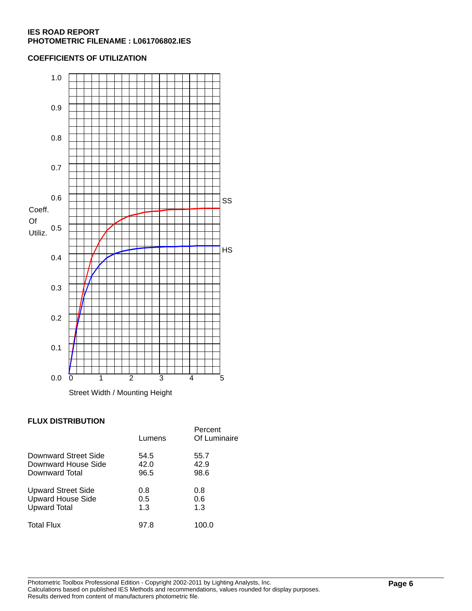## **COEFFICIENTS OF UTILIZATION**



## **FLUX DISTRIBUTION**

|                           | Lumens | Percent<br>Of Luminaire |
|---------------------------|--------|-------------------------|
| Downward Street Side      | 54.5   | 55.7                    |
| Downward House Side       | 42.0   | 42.9                    |
| Downward Total            | 96.5   | 98.6                    |
| <b>Upward Street Side</b> | 0.8    | 0.8                     |
| <b>Upward House Side</b>  | 0.5    | 0.6                     |
| <b>Upward Total</b>       | 1.3    | 1.3                     |
| <b>Total Flux</b>         | 97.8   | 100.0                   |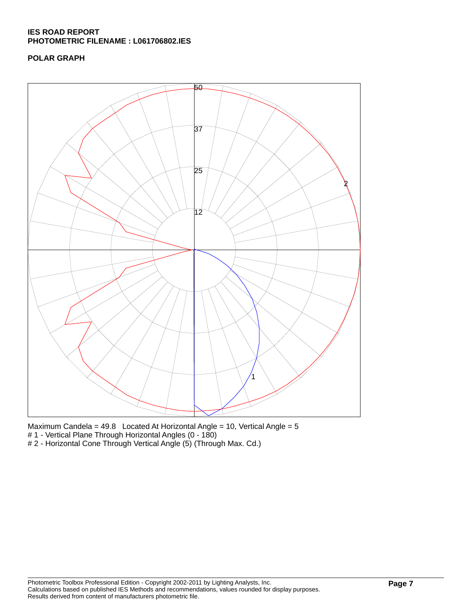## **POLAR GRAPH**



Maximum Candela = 49.8 Located At Horizontal Angle = 10, Vertical Angle = 5 # 1 - Vertical Plane Through Horizontal Angles (0 - 180)

# 2 - Horizontal Cone Through Vertical Angle (5) (Through Max. Cd.)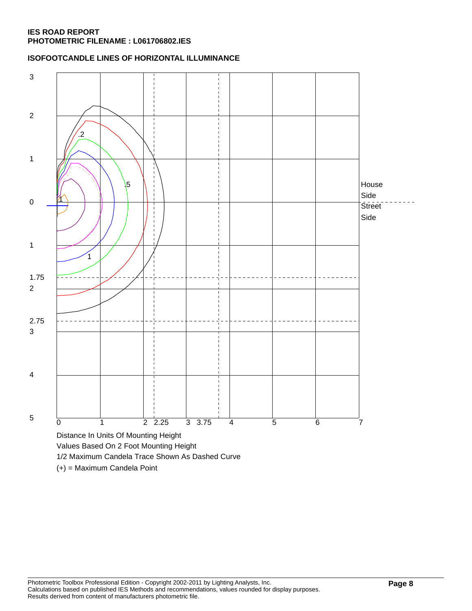## **ISOFOOTCANDLE LINES OF HORIZONTAL ILLUMINANCE**



(+) = Maximum Candela Point